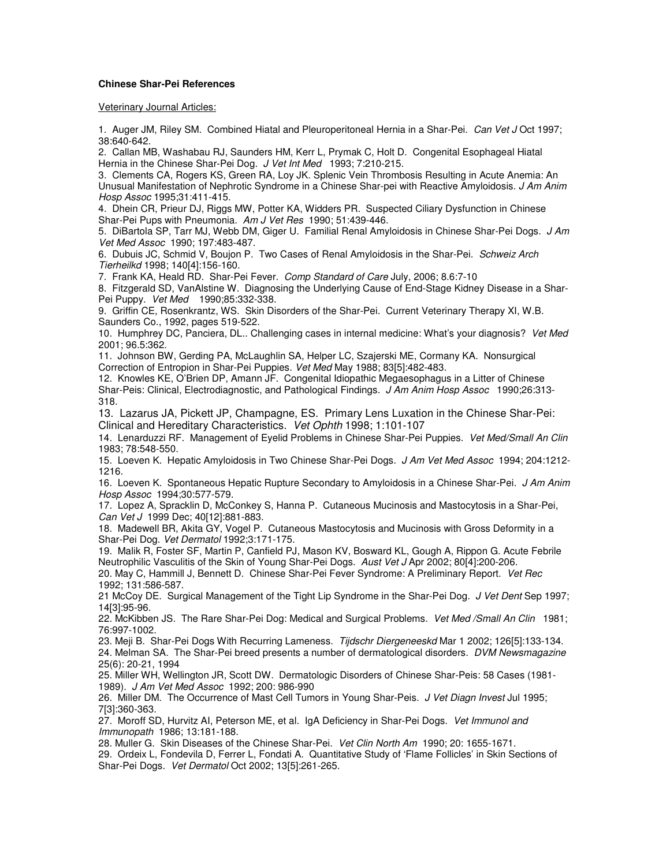## **Chinese Shar-Pei References**

Veterinary Journal Articles:

1. Auger JM, Riley SM. Combined Hiatal and Pleuroperitoneal Hernia in a Shar-Pei. Can Vet J Oct 1997; 38:640-642.

2. Callan MB, Washabau RJ, Saunders HM, Kerr L, Prymak C, Holt D. Congenital Esophageal Hiatal Hernia in the Chinese Shar-Pei Dog. J Vet Int Med 1993; 7:210-215.

3. Clements CA, Rogers KS, Green RA, Loy JK. Splenic Vein Thrombosis Resulting in Acute Anemia: An Unusual Manifestation of Nephrotic Syndrome in a Chinese Shar-pei with Reactive Amyloidosis. J Am Anim Hosp Assoc 1995;31:411-415.

4. Dhein CR, Prieur DJ, Riggs MW, Potter KA, Widders PR. Suspected Ciliary Dysfunction in Chinese Shar-Pei Pups with Pneumonia. Am J Vet Res 1990; 51:439-446.

5. DiBartola SP, Tarr MJ, Webb DM, Giger U. Familial Renal Amyloidosis in Chinese Shar-Pei Dogs. J Am Vet Med Assoc 1990; 197:483-487.

6. Dubuis JC, Schmid V, Boujon P. Two Cases of Renal Amyloidosis in the Shar-Pei. Schweiz Arch Tierheilkd 1998; 140[4]:156-160.

7. Frank KA, Heald RD. Shar-Pei Fever. Comp Standard of Care July, 2006; 8.6:7-10

8. Fitzgerald SD, VanAlstine W. Diagnosing the Underlying Cause of End-Stage Kidney Disease in a Shar-Pei Puppy. Vet Med 1990;85:332-338.

9. Griffin CE, Rosenkrantz, WS. Skin Disorders of the Shar-Pei. Current Veterinary Therapy XI, W.B. Saunders Co., 1992, pages 519-522.

10. Humphrey DC, Panciera, DL.. Challenging cases in internal medicine: What's your diagnosis? Vet Med 2001; 96.5:362.

11. Johnson BW, Gerding PA, McLaughlin SA, Helper LC, Szajerski ME, Cormany KA. Nonsurgical Correction of Entropion in Shar-Pei Puppies. Vet Med May 1988; 83[5]:482-483.

12. Knowles KE, O'Brien DP, Amann JF. Congenital Idiopathic Megaesophagus in a Litter of Chinese Shar-Peis: Clinical, Electrodiagnostic, and Pathological Findings. J Am Anim Hosp Assoc 1990;26:313-318.

13. Lazarus JA, Pickett JP, Champagne, ES. Primary Lens Luxation in the Chinese Shar-Pei: Clinical and Hereditary Characteristics. Vet Ophth 1998; 1:101-107

14. Lenarduzzi RF. Management of Eyelid Problems in Chinese Shar-Pei Puppies. Vet Med/Small An Clin 1983; 78:548-550.

15. Loeven K. Hepatic Amyloidosis in Two Chinese Shar-Pei Dogs. J Am Vet Med Assoc 1994; 204:1212-1216.

16. Loeven K. Spontaneous Hepatic Rupture Secondary to Amyloidosis in a Chinese Shar-Pei. J Am Anim Hosp Assoc 1994;30:577-579.

17. Lopez A, Spracklin D, McConkey S, Hanna P. Cutaneous Mucinosis and Mastocytosis in a Shar-Pei, Can Vet J 1999 Dec; 40[12]:881-883.

18. Madewell BR, Akita GY, Vogel P. Cutaneous Mastocytosis and Mucinosis with Gross Deformity in a Shar-Pei Dog. Vet Dermatol 1992;3:171-175.

19. Malik R, Foster SF, Martin P, Canfield PJ, Mason KV, Bosward KL, Gough A, Rippon G. Acute Febrile Neutrophilic Vasculitis of the Skin of Young Shar-Pei Dogs. Aust Vet J Apr 2002; 80[4]:200-206.

20. May C, Hammill J, Bennett D. Chinese Shar-Pei Fever Syndrome: A Preliminary Report. Vet Rec 1992; 131:586-587.

21 McCoy DE. Surgical Management of the Tight Lip Syndrome in the Shar-Pei Dog. J Vet Dent Sep 1997; 14[3]:95-96.

22. McKibben JS. The Rare Shar-Pei Dog: Medical and Surgical Problems. Vet Med / Small An Clin 1981; 76:997-1002.

23. Meji B. Shar-Pei Dogs With Recurring Lameness. Tijdschr Diergeneeskd Mar 1 2002; 126[5]:133-134.

24. Melman SA. The Shar-Pei breed presents a number of dermatological disorders. DVM Newsmagazine 25(6): 20-21, 1994

25. Miller WH, Wellington JR, Scott DW. Dermatologic Disorders of Chinese Shar-Peis: 58 Cases (1981- 1989). J Am Vet Med Assoc 1992; 200: 986-990

26. Miller DM. The Occurrence of Mast Cell Tumors in Young Shar-Peis. J Vet Diagn Invest Jul 1995; 7[3]:360-363.

27. Moroff SD, Hurvitz AI, Peterson ME, et al. IgA Deficiency in Shar-Pei Dogs. Vet Immunol and Immunopath 1986; 13:181-188.

28. Muller G. Skin Diseases of the Chinese Shar-Pei. Vet Clin North Am 1990; 20: 1655-1671.

29. Ordeix L, Fondevila D, Ferrer L, Fondati A. Quantitative Study of 'Flame Follicles' in Skin Sections of Shar-Pei Dogs. Vet Dermatol Oct 2002; 13[5]:261-265.